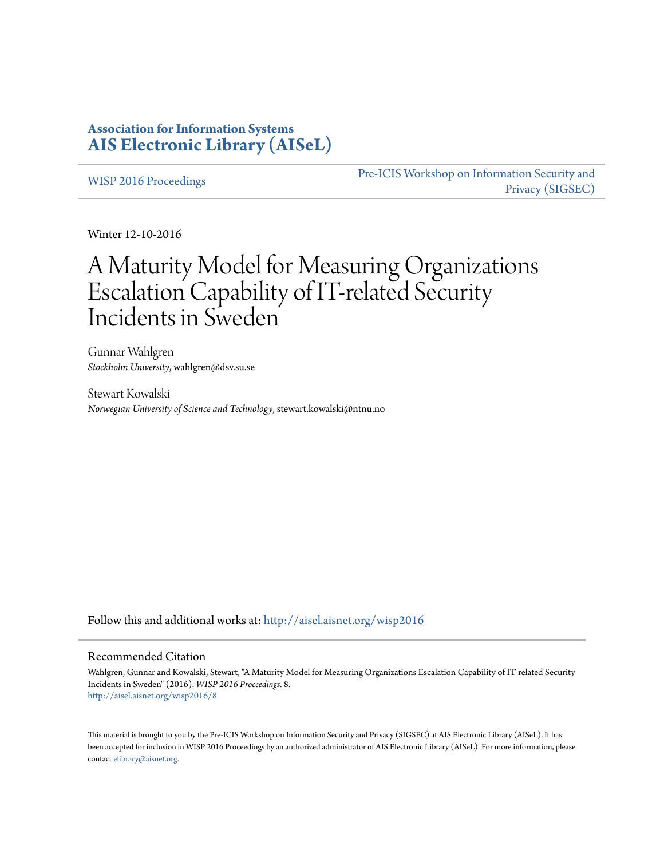# **Association for Information Systems [AIS Electronic Library \(AISeL\)](http://aisel.aisnet.org?utm_source=aisel.aisnet.org%2Fwisp2016%2F8&utm_medium=PDF&utm_campaign=PDFCoverPages)**

[WISP 2016 Proceedings](http://aisel.aisnet.org/wisp2016?utm_source=aisel.aisnet.org%2Fwisp2016%2F8&utm_medium=PDF&utm_campaign=PDFCoverPages)

[Pre-ICIS Workshop on Information Security and](http://aisel.aisnet.org/sigsec?utm_source=aisel.aisnet.org%2Fwisp2016%2F8&utm_medium=PDF&utm_campaign=PDFCoverPages) [Privacy \(SIGSEC\)](http://aisel.aisnet.org/sigsec?utm_source=aisel.aisnet.org%2Fwisp2016%2F8&utm_medium=PDF&utm_campaign=PDFCoverPages)

Winter 12-10-2016

# A Maturity Model for Measuring Organizations Escalation Capability of IT-related Security Incidents in Sweden

Gunnar Wahlgren *Stockholm University*, wahlgren@dsv.su.se

Stewart Kowalski *Norwegian University of Science and Technology*, stewart.kowalski@ntnu.no

Follow this and additional works at: [http://aisel.aisnet.org/wisp2016](http://aisel.aisnet.org/wisp2016?utm_source=aisel.aisnet.org%2Fwisp2016%2F8&utm_medium=PDF&utm_campaign=PDFCoverPages)

#### Recommended Citation

Wahlgren, Gunnar and Kowalski, Stewart, "A Maturity Model for Measuring Organizations Escalation Capability of IT-related Security Incidents in Sweden" (2016). *WISP 2016 Proceedings*. 8. [http://aisel.aisnet.org/wisp2016/8](http://aisel.aisnet.org/wisp2016/8?utm_source=aisel.aisnet.org%2Fwisp2016%2F8&utm_medium=PDF&utm_campaign=PDFCoverPages)

This material is brought to you by the Pre-ICIS Workshop on Information Security and Privacy (SIGSEC) at AIS Electronic Library (AISeL). It has been accepted for inclusion in WISP 2016 Proceedings by an authorized administrator of AIS Electronic Library (AISeL). For more information, please contact [elibrary@aisnet.org.](mailto:elibrary@aisnet.org%3E)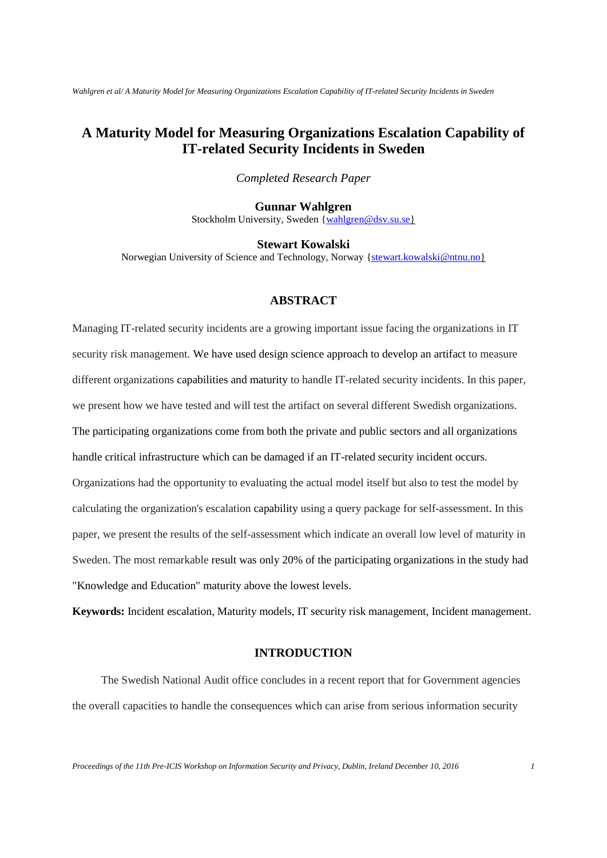# **A Maturity Model for Measuring Organizations Escalation Capability of IT-related Security Incidents in Sweden**

*Completed Research Paper*

### **Gunnar Wahlgren**

Stockholm University, Sweden [{wahlgren@dsv.su.se}](mailto:wahlgren@dsv.su.se)

**Stewart Kowalski**

Norwegian University of Science and Technology, Norway [{stewart.kowalski@ntnu.no}](mailto:stewart.kowalski@ntnu.no)

#### **ABSTRACT**

Managing IT-related security incidents are a growing important issue facing the organizations in IT security risk management. We have used design science approach to develop an artifact to measure different organizations capabilities and maturity to handle IT-related security incidents. In this paper, we present how we have tested and will test the artifact on several different Swedish organizations. The participating organizations come from both the private and public sectors and all organizations handle critical infrastructure which can be damaged if an IT-related security incident occurs. Organizations had the opportunity to evaluating the actual model itself but also to test the model by calculating the organization's escalation capability using a query package for self-assessment. In this paper, we present the results of the self-assessment which indicate an overall low level of maturity in Sweden. The most remarkable result was only 20% of the participating organizations in the study had "Knowledge and Education" maturity above the lowest levels.

**Keywords:** Incident escalation, Maturity models, IT security risk management, Incident management.

#### **INTRODUCTION**

The Swedish National Audit office concludes in a recent report that for Government agencies the overall capacities to handle the consequences which can arise from serious information security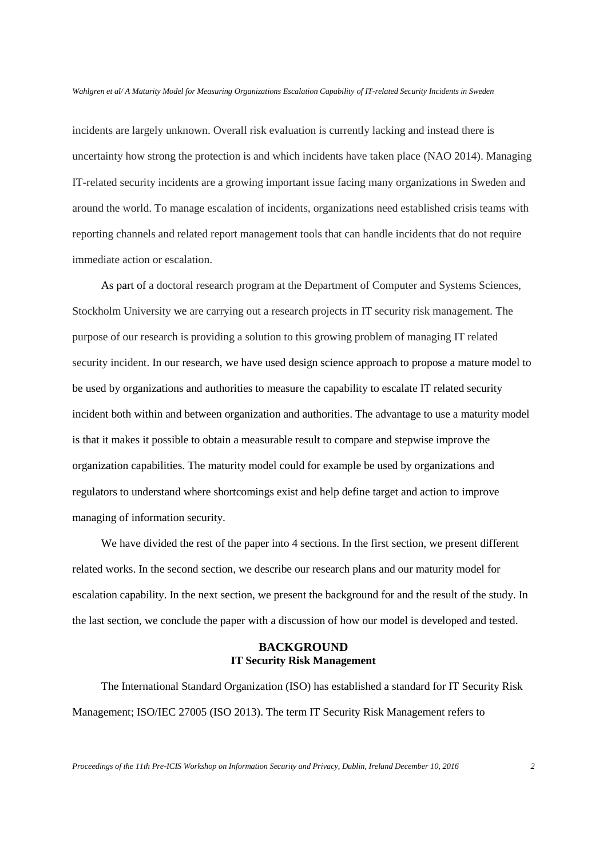incidents are largely unknown. Overall risk evaluation is currently lacking and instead there is uncertainty how strong the protection is and which incidents have taken place (NAO 2014). Managing IT-related security incidents are a growing important issue facing many organizations in Sweden and around the world. To manage escalation of incidents, organizations need established crisis teams with reporting channels and related report management tools that can handle incidents that do not require immediate action or escalation.

As part of a doctoral research program at the Department of Computer and Systems Sciences, Stockholm University we are carrying out a research projects in IT security risk management. The purpose of our research is providing a solution to this growing problem of managing IT related security incident. In our research, we have used design science approach to propose a mature model to be used by organizations and authorities to measure the capability to escalate IT related security incident both within and between organization and authorities. The advantage to use a maturity model is that it makes it possible to obtain a measurable result to compare and stepwise improve the organization capabilities. The maturity model could for example be used by organizations and regulators to understand where shortcomings exist and help define target and action to improve managing of information security.

We have divided the rest of the paper into 4 sections. In the first section, we present different related works. In the second section, we describe our research plans and our maturity model for escalation capability. In the next section, we present the background for and the result of the study. In the last section, we conclude the paper with a discussion of how our model is developed and tested.

# **BACKGROUND IT Security Risk Management**

The International Standard Organization (ISO) has established a standard for IT Security Risk Management; ISO/IEC 27005 (ISO 2013). The term IT Security Risk Management refers to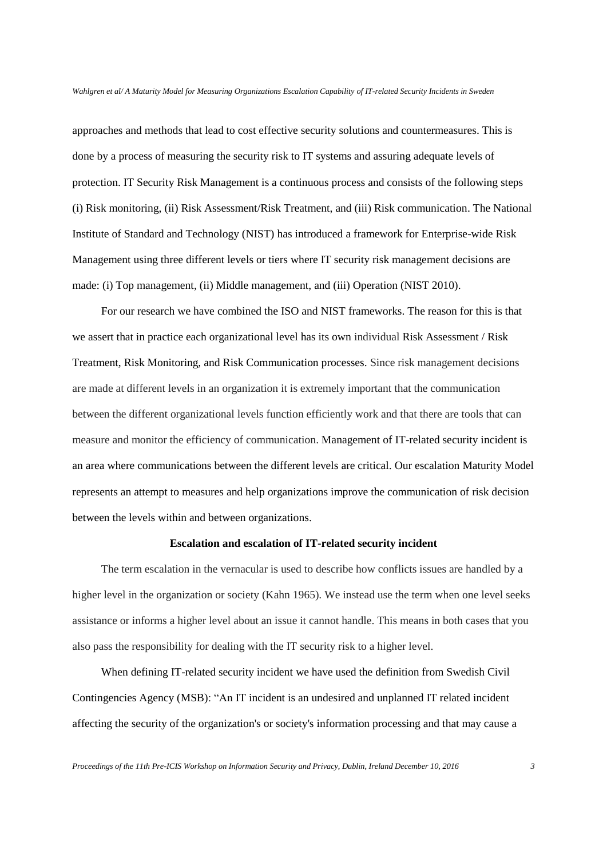approaches and methods that lead to cost effective security solutions and countermeasures. This is done by a process of measuring the security risk to IT systems and assuring adequate levels of protection. IT Security Risk Management is a continuous process and consists of the following steps (i) Risk monitoring, (ii) Risk Assessment/Risk Treatment, and (iii) Risk communication. The National Institute of Standard and Technology (NIST) has introduced a framework for Enterprise-wide Risk Management using three different levels or tiers where IT security risk management decisions are made: (i) Top management, (ii) Middle management, and (iii) Operation (NIST 2010).

For our research we have combined the ISO and NIST frameworks. The reason for this is that we assert that in practice each organizational level has its own individual Risk Assessment / Risk Treatment, Risk Monitoring, and Risk Communication processes. Since risk management decisions are made at different levels in an organization it is extremely important that the communication between the different organizational levels function efficiently work and that there are tools that can measure and monitor the efficiency of communication. Management of IT-related security incident is an area where communications between the different levels are critical. Our escalation Maturity Model represents an attempt to measures and help organizations improve the communication of risk decision between the levels within and between organizations.

#### **Escalation and escalation of IT-related security incident**

The term escalation in the vernacular is used to describe how conflicts issues are handled by a higher level in the organization or society (Kahn 1965). We instead use the term when one level seeks assistance or informs a higher level about an issue it cannot handle. This means in both cases that you also pass the responsibility for dealing with the IT security risk to a higher level.

When defining IT-related security incident we have used the definition from Swedish Civil Contingencies Agency (MSB): "An IT incident is an undesired and unplanned IT related incident affecting the security of the organization's or society's information processing and that may cause a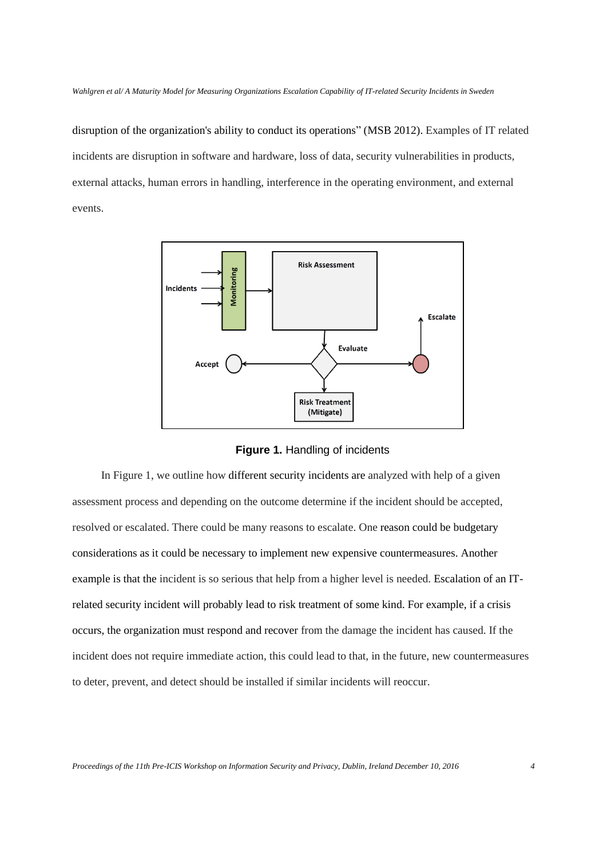disruption of the organization's ability to conduct its operations" (MSB 2012). Examples of IT related incidents are disruption in software and hardware, loss of data, security vulnerabilities in products, external attacks, human errors in handling, interference in the operating environment, and external events.



**Figure 1.** Handling of incidents

In Figure 1, we outline how different security incidents are analyzed with help of a given assessment process and depending on the outcome determine if the incident should be accepted, resolved or escalated. There could be many reasons to escalate. One reason could be budgetary considerations as it could be necessary to implement new expensive countermeasures. Another example is that the incident is so serious that help from a higher level is needed. Escalation of an ITrelated security incident will probably lead to risk treatment of some kind. For example, if a crisis occurs, the organization must respond and recover from the damage the incident has caused. If the incident does not require immediate action, this could lead to that, in the future, new countermeasures to deter, prevent, and detect should be installed if similar incidents will reoccur.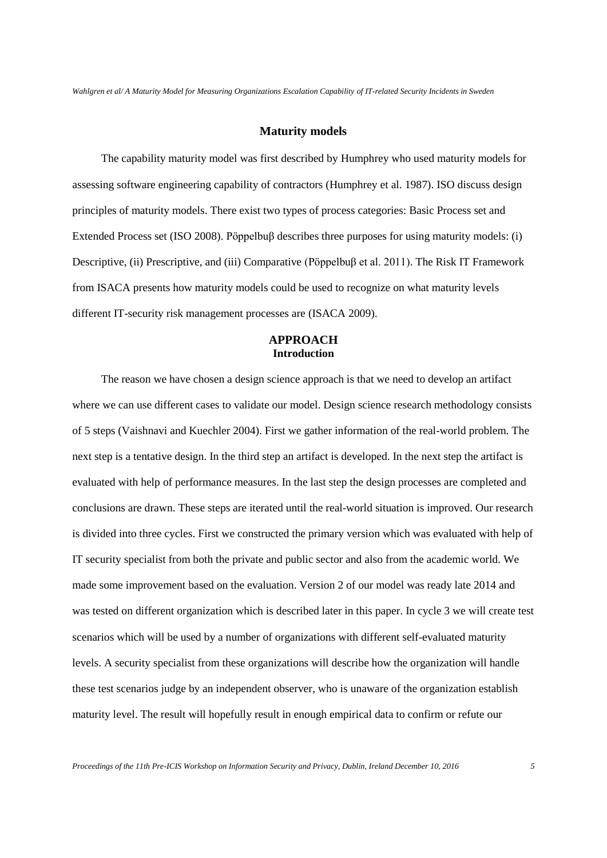#### **Maturity models**

The capability maturity model was first described by Humphrey who used maturity models for assessing software engineering capability of contractors (Humphrey et al. 1987). ISO discuss design principles of maturity models. There exist two types of process categories: Basic Process set and Extended Process set (ISO 2008). Pöppelbuβ describes three purposes for using maturity models: (i) Descriptive, (ii) Prescriptive, and (iii) Comparative (Pöppelbuβ et al. 2011). The Risk IT Framework from ISACA presents how maturity models could be used to recognize on what maturity levels different IT-security risk management processes are (ISACA 2009).

# **APPROACH Introduction**

The reason we have chosen a design science approach is that we need to develop an artifact where we can use different cases to validate our model. Design science research methodology consists of 5 steps (Vaishnavi and Kuechler 2004). First we gather information of the real-world problem. The next step is a tentative design. In the third step an artifact is developed. In the next step the artifact is evaluated with help of performance measures. In the last step the design processes are completed and conclusions are drawn. These steps are iterated until the real-world situation is improved. Our research is divided into three cycles. First we constructed the primary version which was evaluated with help of IT security specialist from both the private and public sector and also from the academic world. We made some improvement based on the evaluation. Version 2 of our model was ready late 2014 and was tested on different organization which is described later in this paper. In cycle 3 we will create test scenarios which will be used by a number of organizations with different self-evaluated maturity levels. A security specialist from these organizations will describe how the organization will handle these test scenarios judge by an independent observer, who is unaware of the organization establish maturity level. The result will hopefully result in enough empirical data to confirm or refute our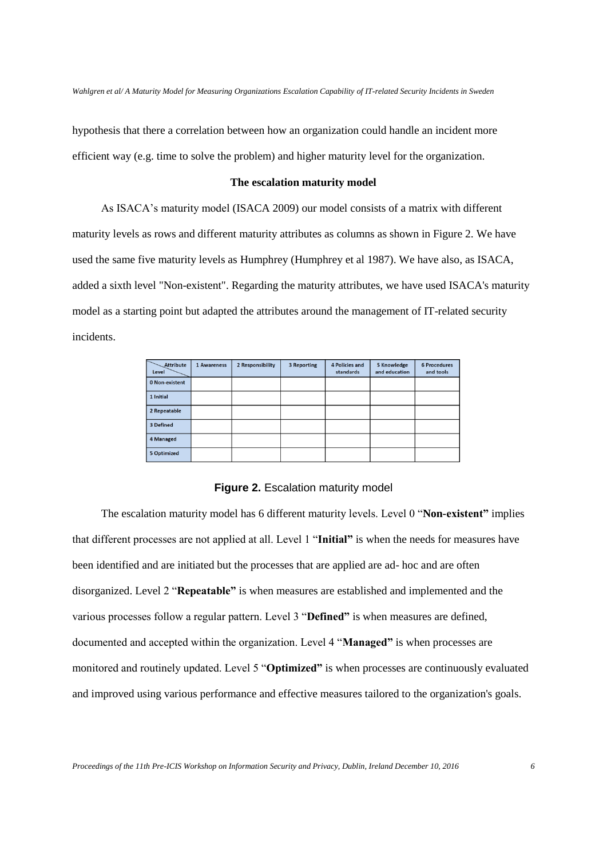hypothesis that there a correlation between how an organization could handle an incident more efficient way (e.g. time to solve the problem) and higher maturity level for the organization.

#### **The escalation maturity model**

As ISACA's maturity model (ISACA 2009) our model consists of a matrix with different maturity levels as rows and different maturity attributes as columns as shown in Figure 2. We have used the same five maturity levels as Humphrey (Humphrey et al 1987). We have also, as ISACA, added a sixth level "Non-existent". Regarding the maturity attributes, we have used ISACA's maturity model as a starting point but adapted the attributes around the management of IT-related security incidents.

| Attribute<br>Level | 1 Awareness | 2 Responsibility | 3 Reporting | 4 Policies and<br>standards | 5 Knowledge<br>and education | <b>6 Procedures</b><br>and tools |
|--------------------|-------------|------------------|-------------|-----------------------------|------------------------------|----------------------------------|
| 0 Non-existent     |             |                  |             |                             |                              |                                  |
| 1 Initial          |             |                  |             |                             |                              |                                  |
| 2 Repeatable       |             |                  |             |                             |                              |                                  |
| 3 Defined          |             |                  |             |                             |                              |                                  |
| 4 Managed          |             |                  |             |                             |                              |                                  |
| 5 Optimized        |             |                  |             |                             |                              |                                  |

**Figure 2. Escalation maturity model** 

The escalation maturity model has 6 different maturity levels. Level 0 "**Non-existent"** implies that different processes are not applied at all. Level 1 "**Initial"** is when the needs for measures have been identified and are initiated but the processes that are applied are ad- hoc and are often disorganized. Level 2 "**Repeatable"** is when measures are established and implemented and the various processes follow a regular pattern. Level 3 "**Defined"** is when measures are defined, documented and accepted within the organization. Level 4 "**Managed"** is when processes are monitored and routinely updated. Level 5 "**Optimized"** is when processes are continuously evaluated and improved using various performance and effective measures tailored to the organization's goals.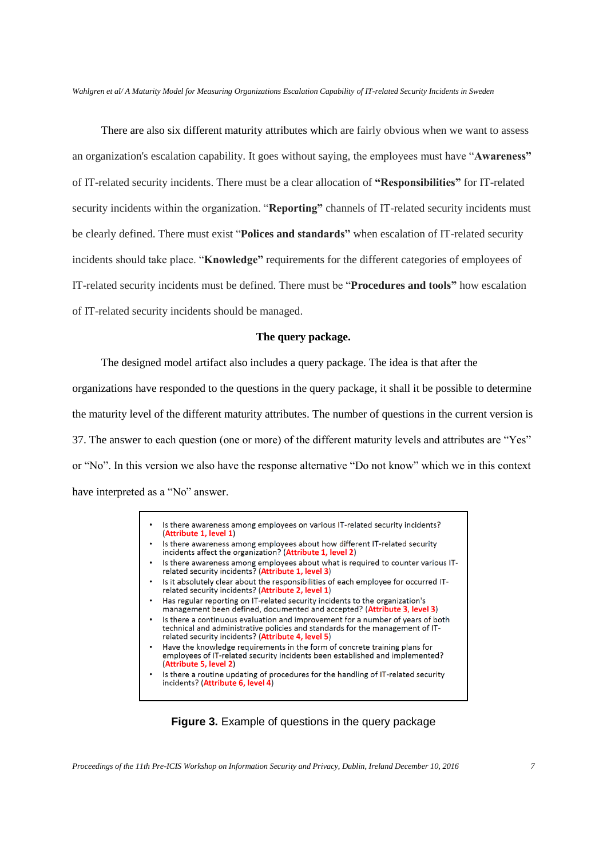There are also six different maturity attributes which are fairly obvious when we want to assess an organization's escalation capability. It goes without saying, the employees must have "**Awareness"** of IT-related security incidents. There must be a clear allocation of **"Responsibilities"** for IT-related security incidents within the organization. "**Reporting"** channels of IT-related security incidents must be clearly defined. There must exist "**Polices and standards"** when escalation of IT-related security incidents should take place. "**Knowledge"** requirements for the different categories of employees of IT-related security incidents must be defined. There must be "**Procedures and tools"** how escalation of IT-related security incidents should be managed.

#### **The query package.**

The designed model artifact also includes a query package. The idea is that after the organizations have responded to the questions in the query package, it shall it be possible to determine the maturity level of the different maturity attributes. The number of questions in the current version is 37. The answer to each question (one or more) of the different maturity levels and attributes are "Yes" or "No". In this version we also have the response alternative "Do not know" which we in this context have interpreted as a "No" answer.

- Is there awareness among employees on various IT-related security incidents? (Attribute 1, level 1)
- Is there awareness among employees about how different IT-related security incidents affect the organization? (Attribute 1, level 2)
- Is there awareness among employees about what is required to counter various IT-<br>related security incidents? (Attribute 1, level 3)
- Is it absolutely clear about the responsibilities of each employee for occurred ITrelated security incidents? (Attribute 2, level 1)
- Has regular reporting on IT-related security incidents to the organization's management been defined, documented and accepted? (Attribute 3, level 3)
- Is there a continuous evaluation and improvement for a number of years of both technical and administrative policies and standards for the management of ITrelated security incidents? (Attribute 4, level 5)
- Have the knowledge requirements in the form of concrete training plans for employees of IT-related security incidents been established and implemented? (Attribute 5, level 2)
- Is there a routine updating of procedures for the handling of IT-related security incidents? (Attribute 6, level 4)

**Figure 3.** Example of questions in the query package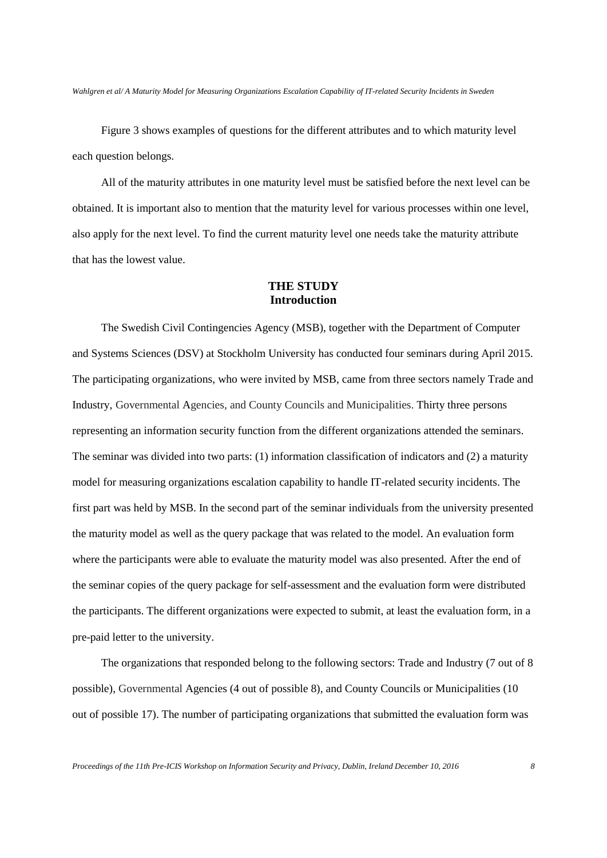Figure 3 shows examples of questions for the different attributes and to which maturity level each question belongs.

All of the maturity attributes in one maturity level must be satisfied before the next level can be obtained. It is important also to mention that the maturity level for various processes within one level, also apply for the next level. To find the current maturity level one needs take the maturity attribute that has the lowest value.

## **THE STUDY Introduction**

The Swedish Civil Contingencies Agency (MSB), together with the Department of Computer and Systems Sciences (DSV) at Stockholm University has conducted four seminars during April 2015. The participating organizations, who were invited by MSB, came from three sectors namely Trade and Industry, Governmental Agencies, and County Councils and Municipalities. Thirty three persons representing an information security function from the different organizations attended the seminars. The seminar was divided into two parts: (1) information classification of indicators and (2) a maturity model for measuring organizations escalation capability to handle IT-related security incidents. The first part was held by MSB. In the second part of the seminar individuals from the university presented the maturity model as well as the query package that was related to the model. An evaluation form where the participants were able to evaluate the maturity model was also presented. After the end of the seminar copies of the query package for self-assessment and the evaluation form were distributed the participants. The different organizations were expected to submit, at least the evaluation form, in a pre-paid letter to the university.

The organizations that responded belong to the following sectors: Trade and Industry (7 out of 8 possible), Governmental Agencies (4 out of possible 8), and County Councils or Municipalities (10 out of possible 17). The number of participating organizations that submitted the evaluation form was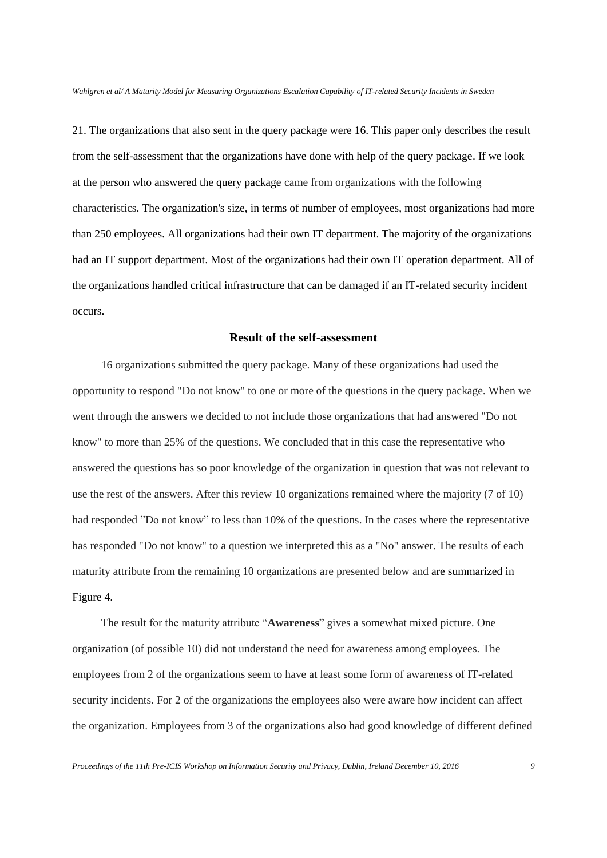21. The organizations that also sent in the query package were 16. This paper only describes the result from the self-assessment that the organizations have done with help of the query package. If we look at the person who answered the query package came from organizations with the following characteristics. The organization's size, in terms of number of employees, most organizations had more than 250 employees. All organizations had their own IT department. The majority of the organizations had an IT support department. Most of the organizations had their own IT operation department. All of the organizations handled critical infrastructure that can be damaged if an IT-related security incident occurs.

#### **Result of the self-assessment**

16 organizations submitted the query package. Many of these organizations had used the opportunity to respond "Do not know" to one or more of the questions in the query package. When we went through the answers we decided to not include those organizations that had answered "Do not know" to more than 25% of the questions. We concluded that in this case the representative who answered the questions has so poor knowledge of the organization in question that was not relevant to use the rest of the answers. After this review 10 organizations remained where the majority (7 of 10) had responded "Do not know" to less than 10% of the questions. In the cases where the representative has responded "Do not know" to a question we interpreted this as a "No" answer. The results of each maturity attribute from the remaining 10 organizations are presented below and are summarized in Figure 4.

The result for the maturity attribute "**Awareness**" gives a somewhat mixed picture. One organization (of possible 10) did not understand the need for awareness among employees. The employees from 2 of the organizations seem to have at least some form of awareness of IT-related security incidents. For 2 of the organizations the employees also were aware how incident can affect the organization. Employees from 3 of the organizations also had good knowledge of different defined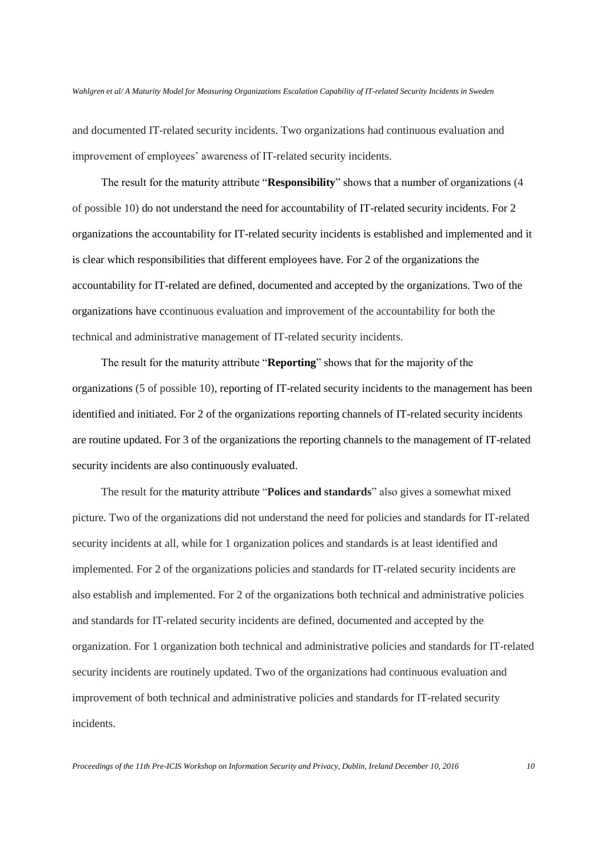and documented IT-related security incidents. Two organizations had continuous evaluation and improvement of employees' awareness of IT-related security incidents.

The result for the maturity attribute "**Responsibility**" shows that a number of organizations (4 of possible 10) do not understand the need for accountability of IT-related security incidents. For 2 organizations the accountability for IT-related security incidents is established and implemented and it is clear which responsibilities that different employees have. For 2 of the organizations the accountability for IT-related are defined, documented and accepted by the organizations. Two of the organizations have ccontinuous evaluation and improvement of the accountability for both the technical and administrative management of IT-related security incidents.

The result for the maturity attribute "**Reporting**" shows that for the majority of the organizations (5 of possible 10), reporting of IT-related security incidents to the management has been identified and initiated. For 2 of the organizations reporting channels of IT-related security incidents are routine updated. For 3 of the organizations the reporting channels to the management of IT-related security incidents are also continuously evaluated.

The result for the maturity attribute "**Polices and standards**" also gives a somewhat mixed picture. Two of the organizations did not understand the need for policies and standards for IT-related security incidents at all, while for 1 organization polices and standards is at least identified and implemented. For 2 of the organizations policies and standards for IT-related security incidents are also establish and implemented. For 2 of the organizations both technical and administrative policies and standards for IT-related security incidents are defined, documented and accepted by the organization. For 1 organization both technical and administrative policies and standards for IT-related security incidents are routinely updated. Two of the organizations had continuous evaluation and improvement of both technical and administrative policies and standards for IT-related security incidents.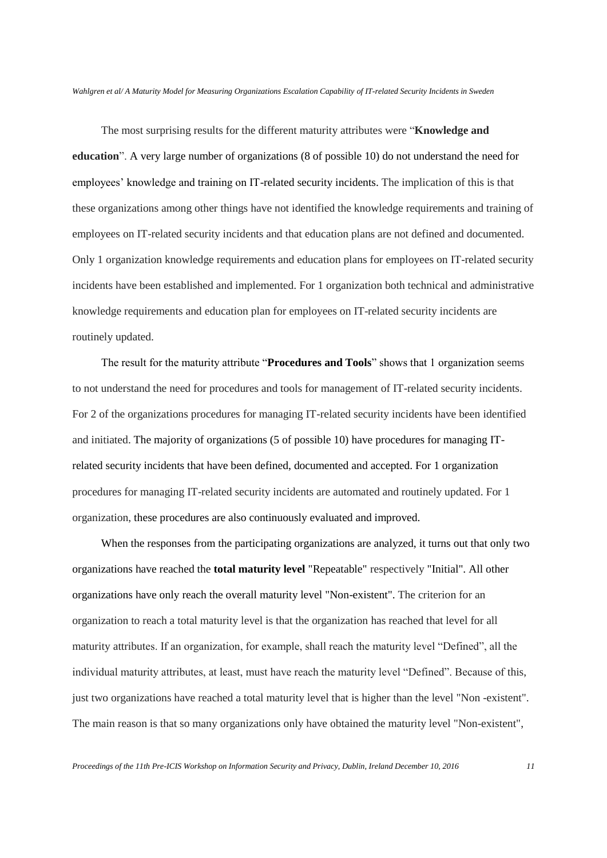The most surprising results for the different maturity attributes were "**Knowledge and education**". A very large number of organizations (8 of possible 10) do not understand the need for employees' knowledge and training on IT-related security incidents. The implication of this is that these organizations among other things have not identified the knowledge requirements and training of employees on IT-related security incidents and that education plans are not defined and documented. Only 1 organization knowledge requirements and education plans for employees on IT-related security incidents have been established and implemented. For 1 organization both technical and administrative knowledge requirements and education plan for employees on IT-related security incidents are routinely updated.

The result for the maturity attribute "**Procedures and Tools**" shows that 1 organization seems to not understand the need for procedures and tools for management of IT-related security incidents. For 2 of the organizations procedures for managing IT-related security incidents have been identified and initiated. The majority of organizations (5 of possible 10) have procedures for managing ITrelated security incidents that have been defined, documented and accepted. For 1 organization procedures for managing IT-related security incidents are automated and routinely updated. For 1 organization, these procedures are also continuously evaluated and improved.

When the responses from the participating organizations are analyzed, it turns out that only two organizations have reached the **total maturity level** "Repeatable" respectively "Initial". All other organizations have only reach the overall maturity level "Non-existent". The criterion for an organization to reach a total maturity level is that the organization has reached that level for all maturity attributes. If an organization, for example, shall reach the maturity level "Defined", all the individual maturity attributes, at least, must have reach the maturity level "Defined". Because of this, just two organizations have reached a total maturity level that is higher than the level "Non -existent". The main reason is that so many organizations only have obtained the maturity level "Non-existent",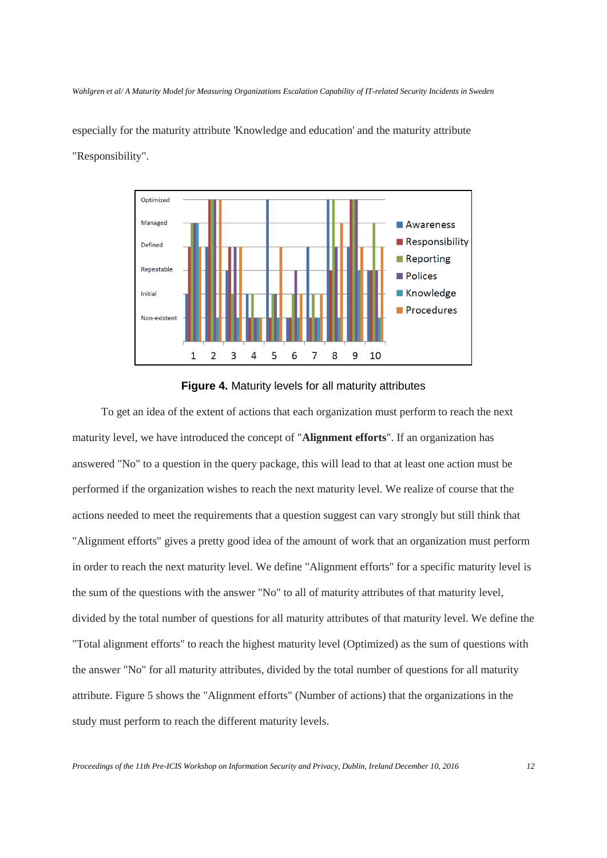especially for the maturity attribute 'Knowledge and education' and the maturity attribute "Responsibility".



#### **Figure 4.** Maturity levels for all maturity attributes

To get an idea of the extent of actions that each organization must perform to reach the next maturity level, we have introduced the concept of "**Alignment efforts**". If an organization has answered "No" to a question in the query package, this will lead to that at least one action must be performed if the organization wishes to reach the next maturity level. We realize of course that the actions needed to meet the requirements that a question suggest can vary strongly but still think that "Alignment efforts" gives a pretty good idea of the amount of work that an organization must perform in order to reach the next maturity level. We define "Alignment efforts" for a specific maturity level is the sum of the questions with the answer "No" to all of maturity attributes of that maturity level, divided by the total number of questions for all maturity attributes of that maturity level. We define the "Total alignment efforts" to reach the highest maturity level (Optimized) as the sum of questions with the answer "No" for all maturity attributes, divided by the total number of questions for all maturity attribute. Figure 5 shows the "Alignment efforts" (Number of actions) that the organizations in the study must perform to reach the different maturity levels.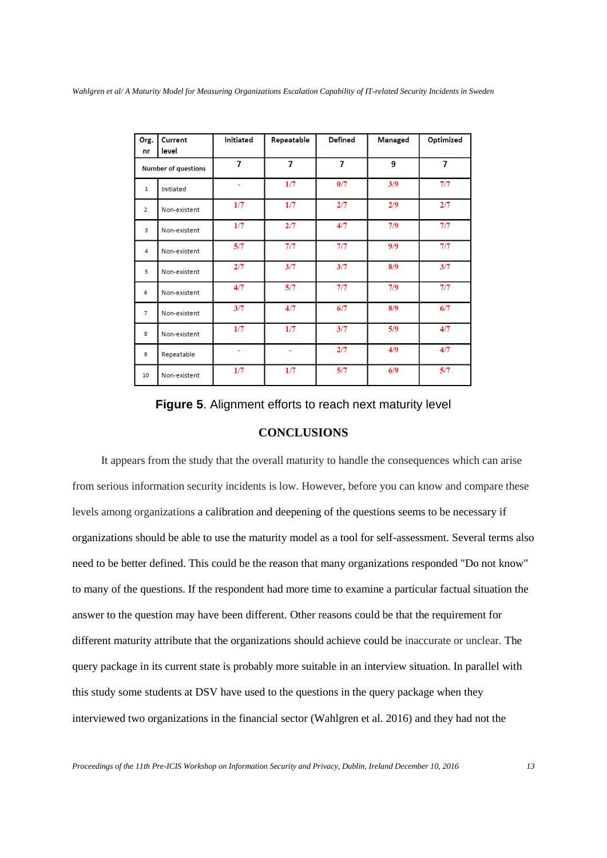| Org.                       | <b>Current</b> | <b>Initiated</b> | Repeatable | <b>Defined</b> | <b>Managed</b> | <b>Optimized</b> |
|----------------------------|----------------|------------------|------------|----------------|----------------|------------------|
| nr                         | level          |                  |            |                |                |                  |
| <b>Number of questions</b> |                | 7                | 7          | $\overline{7}$ | 9              | 7                |
| $\mathbf{1}$               | Initiated      |                  | 1/7        | 0/7            | 3/9            | 7/7              |
| $\overline{2}$             | Non-existent   | 1/7              | 1/7        | 2/7            | 2/9            | 2/7              |
| $\overline{3}$             | Non-existent   | 1/7              | 2/7        | 4/7            | 7/9            | 7/7              |
| $\overline{4}$             | Non-existent   | 5/7              | 7/7        | 7/7            | 9/9            | 7/7              |
| 5                          | Non-existent   | 2/7              | 3/7        | 3/7            | 8/9            | 3/7              |
| 6                          | Non-existent   | 4/7              | 5/7        | 7/7            | 7/9            | 7/7              |
| $\overline{7}$             | Non-existent   | 3/7              | 4/7        | 6/7            | 8/9            | 6/7              |
| 8                          | Non-existent   | 1/7              | 1/7        | 3/7            | 5/9            | 4/7              |
| 9                          | Repeatable     | ÷,               | ÷          | 2/7            | 4/9            | 4/7              |
| 10                         | Non-existent   | 1/7              | 1/7        | 5/7            | 6/9            | 5/7              |

**Figure 5**. Alignment efforts to reach next maturity level

# **CONCLUSIONS**

It appears from the study that the overall maturity to handle the consequences which can arise from serious information security incidents is low. However, before you can know and compare these levels among organizations a calibration and deepening of the questions seems to be necessary if organizations should be able to use the maturity model as a tool for self-assessment. Several terms also need to be better defined. This could be the reason that many organizations responded "Do not know" to many of the questions. If the respondent had more time to examine a particular factual situation the answer to the question may have been different. Other reasons could be that the requirement for different maturity attribute that the organizations should achieve could be inaccurate or unclear. The query package in its current state is probably more suitable in an interview situation. In parallel with this study some students at DSV have used to the questions in the query package when they interviewed two organizations in the financial sector (Wahlgren et al. 2016) and they had not the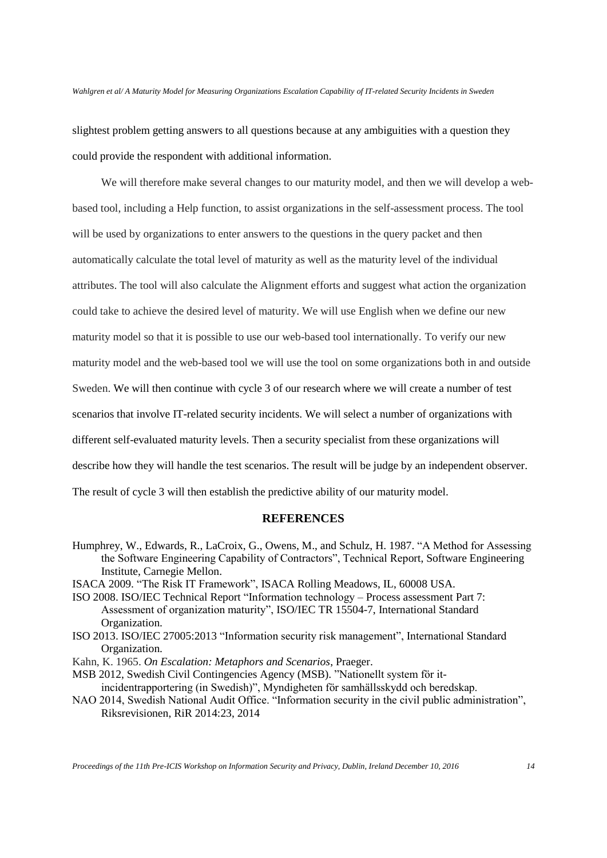slightest problem getting answers to all questions because at any ambiguities with a question they could provide the respondent with additional information.

We will therefore make several changes to our maturity model, and then we will develop a webbased tool, including a Help function, to assist organizations in the self-assessment process. The tool will be used by organizations to enter answers to the questions in the query packet and then automatically calculate the total level of maturity as well as the maturity level of the individual attributes. The tool will also calculate the Alignment efforts and suggest what action the organization could take to achieve the desired level of maturity. We will use English when we define our new maturity model so that it is possible to use our web-based tool internationally. To verify our new maturity model and the web-based tool we will use the tool on some organizations both in and outside Sweden. We will then continue with cycle 3 of our research where we will create a number of test scenarios that involve IT-related security incidents. We will select a number of organizations with different self-evaluated maturity levels. Then a security specialist from these organizations will describe how they will handle the test scenarios. The result will be judge by an independent observer. The result of cycle 3 will then establish the predictive ability of our maturity model.

# **REFERENCES**

- Humphrey, W., Edwards, R., LaCroix, G., Owens, M., and Schulz, H. 1987. "A Method for Assessing the Software Engineering Capability of Contractors", Technical Report, Software Engineering Institute, Carnegie Mellon.
- ISACA 2009. "The Risk IT Framework", ISACA Rolling Meadows, IL, 60008 USA.
- ISO 2008. ISO/IEC Technical Report "Information technology Process assessment Part 7: Assessment of organization maturity", ISO/IEC TR 15504-7, International Standard Organization.
- ISO 2013. ISO/IEC 27005:2013 "Information security risk management", International Standard Organization.
- Kahn, K. 1965. *On Escalation: Metaphors and Scenarios*, Praeger.
- MSB 2012, Swedish Civil Contingencies Agency (MSB). "Nationellt system för itincidentrapportering (in Swedish)", Myndigheten för samhällsskydd och beredskap.
- NAO 2014, Swedish National Audit Office. "Information security in the civil public administration", Riksrevisionen, RiR 2014:23, 2014